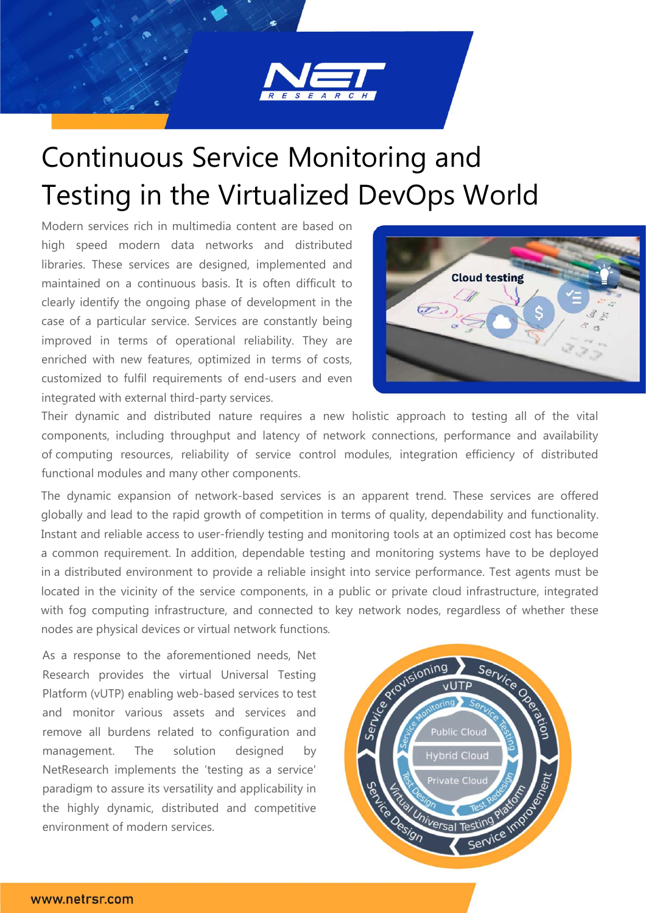

# Continuous Service Monitoring and Testing in the Virtualized DevOps World

Modern services rich in multimedia content are based on high speed modern data networks and distributed libraries. These services are designed, implemented and maintained on a continuous basis. It is often difficult to clearly identify the ongoing phase of development in the case of a particular service. Services are constantly being improved in terms of operational reliability. They are enriched with new features, optimized in terms of costs, customized to fulfil requirements of end-users and even integrated with external third-party services.



Their dynamic and distributed nature requires a new holistic approach to testing all of the vital components, including throughput and latency of network connections, performance and availability of computing resources, reliability of service control modules, integration efficiency of distributed functional modules and many other components.

The dynamic expansion of network-based services is an apparent trend. These services are offered globally and lead to the rapid growth of competition in terms of quality, dependability and functionality. Instant and reliable access to user-friendly testing and monitoring tools at an optimized cost has become a common requirement. In addition, dependable testing and monitoring systems have to be deployed in a distributed environment to provide a reliable insight into service performance. Test agents must be located in the vicinity of the service components, in a public or private cloud infrastructure, integrated with fog computing infrastructure, and connected to key network nodes, regardless of whether these nodes are physical devices or virtual network functions*.*

As a response to the aforementioned needs, Net Research provides the virtual Universal Testing Platform (vUTP) enabling web-based services to test and monitor various assets and services and remove all burdens related to configuration and management. The solution designed by NetResearch implements the 'testing as a service' paradigm to assure its versatility and applicability in the highly dynamic, distributed and competitive environment of modern services.

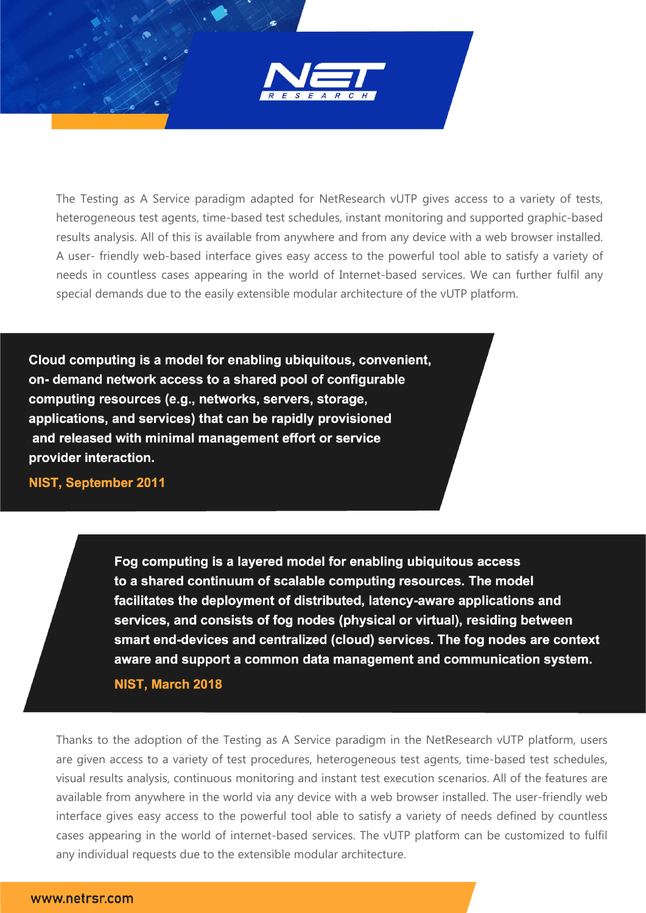

The Testing as A Service paradigm adapted for NetResearch vUTP gives access to a variety of tests, heterogeneous test agents, time-based test schedules, instant monitoring and supported graphic-based results analysis. All of this is available from anywhere and from any device with a web browser installed. A user- friendly web-based interface gives easy access to the powerful tool able to satisfy a variety of needs in countless cases appearing in the world of Internet-based services. We can further fulfil any special demands due to the easily extensible modular architecture of the vUTP platform.

Cloud computing is a model for enabling ubiquitous, convenient, on- demand network access to a shared pool of configurable computing resources (e.g., networks, servers, storage, applications, and services) that can be rapidly provisioned and released with minimal management effort or service provider interaction.

**NIST, September 2011** 

Fog computing is a layered model for enabling ubiquitous access to a shared continuum of scalable computing resources. The model facilitates the deployment of distributed, latency-aware applications and services, and consists of fog nodes (physical or virtual), residing between smart end-devices and centralized (cloud) services. The fog nodes are context aware and support a common data management and communication system.

NIST, March 2018

Thanks to the adoption of the Testing as A Service paradigm in the NetResearch vUTP platform, users are given access to a variety of test procedures, heterogeneous test agents, time-based test schedules, visual results analysis, continuous monitoring and instant test execution scenarios. All of the features are available from anywhere in the world via any device with a web browser installed. The user-friendly web interface gives easy access to the powerful tool able to satisfy a variety of needs defined by countless cases appearing in the world of internet-based services. The vUTP platform can be customized to fulfil any individual requests due to the extensible modular architecture.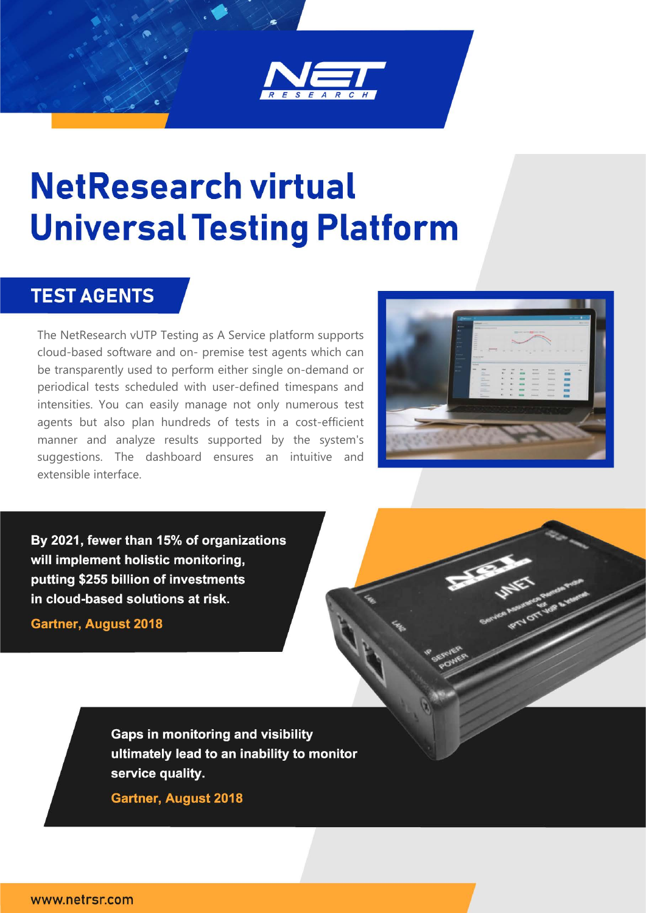

# **NetResearch virtual Universal Testing Platform**

#### **TEST AGENTS**

The NetResearch vUTP Testing as A Service platform supports cloud-based software and on- premise test agents which can be transparently used to perform either single on-demand or periodical tests scheduled with user-defined timespans and intensities. You can easily manage not only numerous test agents but also plan hundreds of tests in a cost-efficient manner and analyze results supported by the system's suggestions. The dashboard ensures an intuitive and extensible interface.



By 2021, fewer than 15% of organizations will implement holistic monitoring, putting \$255 billion of investments in cloud-based solutions at risk.

**Gartner, August 2018** 

**Gaps in monitoring and visibility** ultimately lead to an inability to monitor service quality.

**Gartner, August 2018**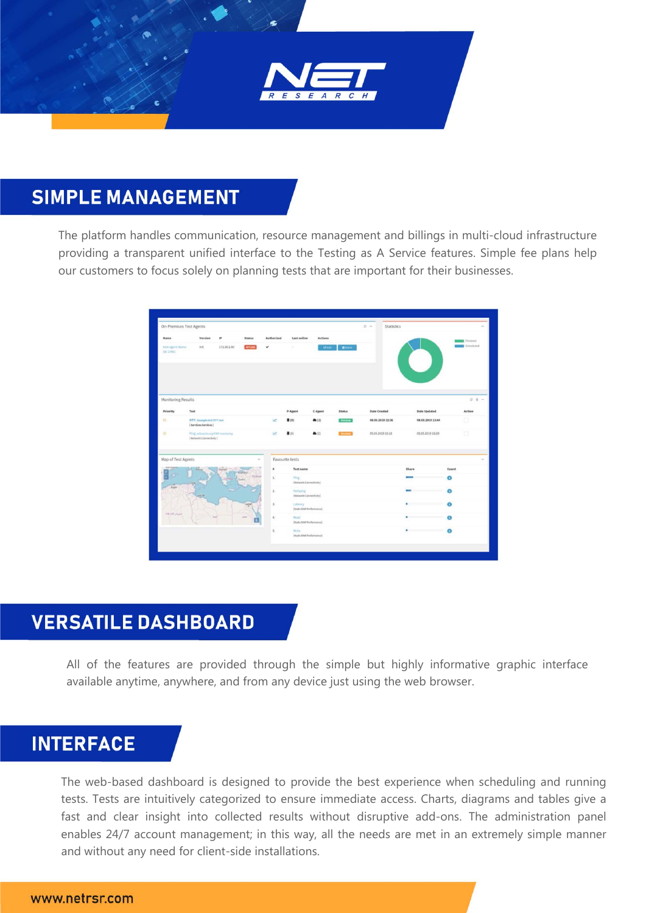

### **SIMPLE MANAGEMENT**

The platform handles communication, resource management and billings in multi-cloud infrastructure providing a transparent unified interface to the Testing as A Service features. Simple fee plans help our customers to focus solely on planning tests that are important for their businesses.

|                                 | <b>On-Premises Test Agents</b>                         |                |                         |            |                                        |                |               | $O -$<br>Statistics |                     |           |
|---------------------------------|--------------------------------------------------------|----------------|-------------------------|------------|----------------------------------------|----------------|---------------|---------------------|---------------------|-----------|
| Name <sub>.</sub>               | Version                                                | 1P             | Status                  | Authorized | Last online                            | <b>Actions</b> |               |                     |                     | Finished  |
| text-agent-destur<br>[id: 2543] | init.                                                  | 172.30.1.90    | <b>COSTLINE</b>         | u          |                                        | <b>CEASE</b>   | <b>Chevy</b>  |                     |                     | Scheduled |
| Monitoring Results              |                                                        |                |                         |            |                                        |                |               |                     |                     | $D - B -$ |
| Priority                        | Test                                                   |                |                         |            | P-Agent                                | C-Agent        | <b>Status</b> | Date Created        | <b>Date Updated</b> | Action    |
| D                               | OTT: JaangleitLEOTESHE<br>(Services:Services)          |                |                         | ie?        | <b>書(0)</b>                            | (2)            | Findsheet     | 08.03.2019 12:36    | 08.03.2019 13:44    | σ         |
| ÷                               | Fing schools up Off medicing<br>[Nutwork:Connectivity] |                |                         |            | 00                                     | ▲②             |               | 05.03.2019 15:18    | 05.03.2019 10:29    | Ð         |
| Map of Test Agents              |                                                        |                | $\overline{a}$          |            | Favourite tests                        |                |               |                     |                     |           |
|                                 |                                                        | Central        | <b>SUPILE</b>           | ٠          | Test name                              |                |               |                     | Share               | Count     |
|                                 |                                                        | <b>ALLANDS</b> | Tietoys<br><b>Egman</b> | à.         | Ping.<br>[Nebior9cCobeedIs/Ry]         |                |               |                     |                     | O         |
| Alger                           |                                                        |                |                         | $2.$       | Pathping<br>(Network:Connectivity)     |                |               |                     |                     | $\bullet$ |
|                                 |                                                        |                |                         | ä,         | Saterney<br>[Node: RAM Performance]    |                |               |                     |                     | $\circ$   |
| AKJO JUAN                       |                                                        |                |                         | ä,         | <b>Head</b><br>(Node: RAM Ferformance) |                |               |                     | ٠                   | $\bullet$ |
|                                 |                                                        |                |                         | s.         | Witter<br>Noda: RAM Performance)       |                |               |                     | ٠                   | $\bullet$ |

## **VERSATILE DASHBOARD**

All of the features are provided through the simple but highly informative graphic interface available anytime, anywhere, and from any device just using the web browser.

#### **INTERFACE**

The web-based dashboard is designed to provide the best experience when scheduling and running tests. Tests are intuitively categorized to ensure immediate access. Charts, diagrams and tables give a fast and clear insight into collected results without disruptive add-ons. The administration panel enables 24/7 account management; in this way, all the needs are met in an extremely simple manner and without any need for client-side installations.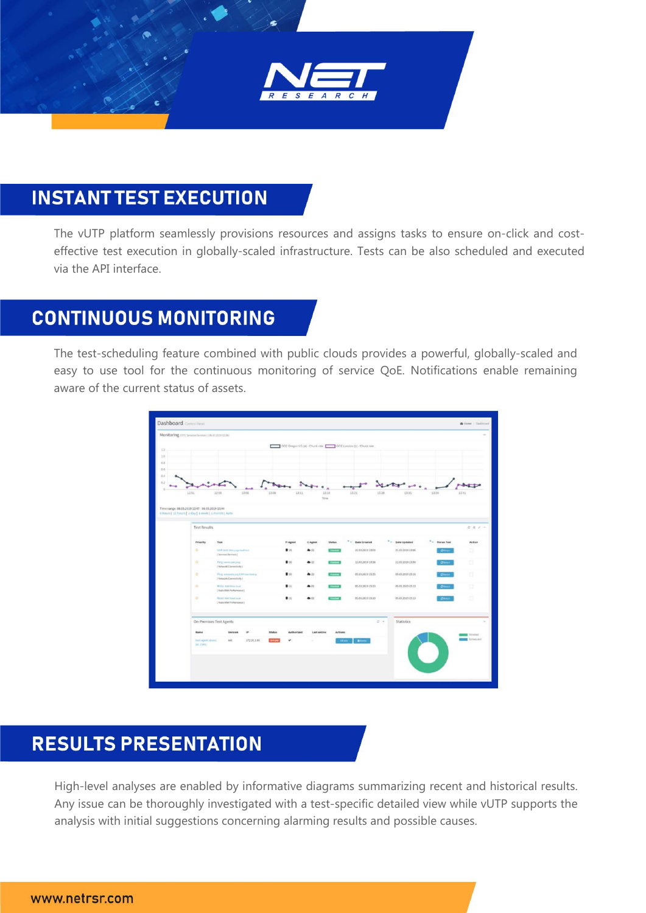

# **INSTANT TEST EXECUTION**

The vUTP platform seamlessly provisions resources and assigns tasks to ensure on-click and costeffective test execution in globally-scaled infrastructure. Tests can be also scheduled and executed via the API interface.

#### **CONTINUOUS MONITORING**

The test-scheduling feature combined with public clouds provides a powerful, globally-scaled and easy to use tool for the continuous monitoring of service QoE. Notifications enable remaining aware of the current status of assets.



#### **RESULTS PRESENTATION**

High-level analyses are enabled by informative diagrams summarizing recent and historical results. Any issue can be thoroughly investigated with a test-specific detailed view while vUTP supports the analysis with initial suggestions concerning alarming results and possible causes.